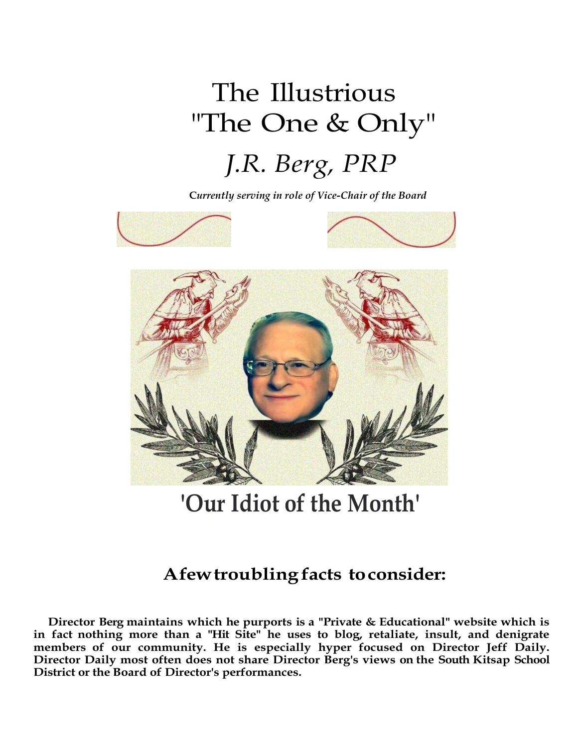## The Illustrious "The One & Only" *J.R. Berg, PRP*

**C***urrently serving in role of Vice-Chair of the Board*



**'Our Idiot of the Month'**

## **Afewtroubling facts toconsider:**

**Director Berg maintains which he purports is a "Private & Educational" website which is in fact nothing more than a "Hit Site" he uses to blog, retaliate, insult, and denigrate members of our community. He is especially hyper focused on Director Jeff Daily. Director Daily most often does not share Director Berg's views on the South Kitsap School District or the Board of Director's performances.**